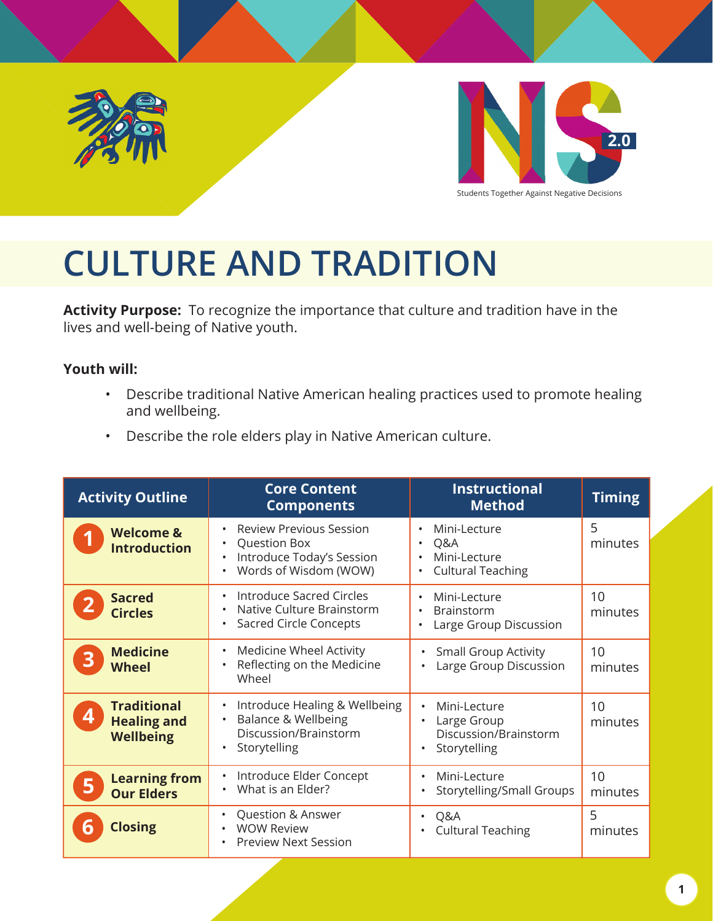



Students Together Against Negative Decisions

# **CULTURE AND TRADITION**

**Activity Purpose:** To recognize the importance that culture and tradition have in the lives and well-being of Native youth.

### **Youth will:**

- Describe traditional Native American healing practices used to promote healing and wellbeing.
- Describe the role elders play in Native American culture.

| <b>Activity Outline</b>                                           | <b>Core Content</b><br><b>Components</b>                                                                                                                 | <b>Instructional</b><br><b>Method</b>                                                          | <b>Timing</b> |
|-------------------------------------------------------------------|----------------------------------------------------------------------------------------------------------------------------------------------------------|------------------------------------------------------------------------------------------------|---------------|
| <b>Welcome &amp;</b><br><b>Introduction</b>                       | <b>Review Previous Session</b><br>$\bullet$<br>Question Box<br>$\bullet$<br>Introduce Today's Session<br>$\bullet$<br>Words of Wisdom (WOW)<br>$\bullet$ | Mini-Lecture<br>Q&A<br>Mini-Lecture<br><b>Cultural Teaching</b>                                | 5<br>minutes  |
| <b>Sacred</b><br><b>Circles</b>                                   | <b>Introduce Sacred Circles</b><br>$\bullet$<br>Native Culture Brainstorm<br>$\bullet$<br><b>Sacred Circle Concepts</b><br>$\bullet$                     | Mini-Lecture<br>$\bullet$<br>Brainstorm<br>٠<br>Large Group Discussion                         | 10<br>minutes |
| <b>Medicine</b><br><b>Wheel</b>                                   | Medicine Wheel Activity<br>$\bullet$<br>Reflecting on the Medicine<br>$\bullet$<br>Wheel                                                                 | <b>Small Group Activity</b><br>٠<br>Large Group Discussion                                     | 10<br>minutes |
| <b>Traditional</b><br>4<br><b>Healing and</b><br><b>Wellbeing</b> | Introduce Healing & Wellbeing<br>$\bullet$<br>Balance & Wellbeing<br>$\bullet$<br>Discussion/Brainstorm<br>Storytelling<br>$\bullet$                     | Mini-Lecture<br>$\bullet$<br>Large Group<br>$\bullet$<br>Discussion/Brainstorm<br>Storytelling | 10<br>minutes |
| <b>Learning from</b><br><b>Our Elders</b>                         | Introduce Elder Concept<br>$\bullet$<br>What is an Elder?                                                                                                | Mini-Lecture<br>$\bullet$<br>Storytelling/Small Groups                                         | 10<br>minutes |
| <b>Closing</b>                                                    | Question & Answer<br>$\bullet$<br><b>WOW Review</b><br>$\bullet$<br><b>Preview Next Session</b><br>$\bullet$                                             | Q&A<br><b>Cultural Teaching</b>                                                                | 5<br>minutes  |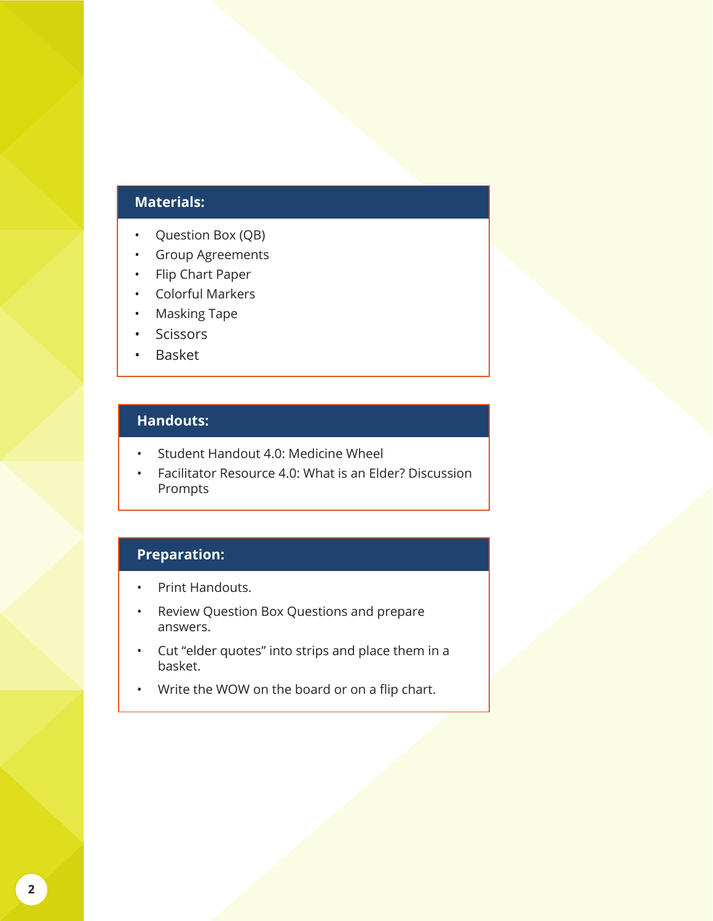### **Materials:**

- Question Box (QB)
- Group Agreements
- Flip Chart Paper
- Colorful Markers
- Masking Tape
- **Scissors**
- Basket

### **Handouts:**

- Student Handout 4.0: Medicine Wheel
- Facilitator Resource 4.0: What is an Elder? Discussion Prompts

### **Preparation:**

- Print Handouts.
- Review Question Box Questions and prepare answers.
- Cut "elder quotes" into strips and place them in a basket.
- Write the WOW on the board or on a flip chart.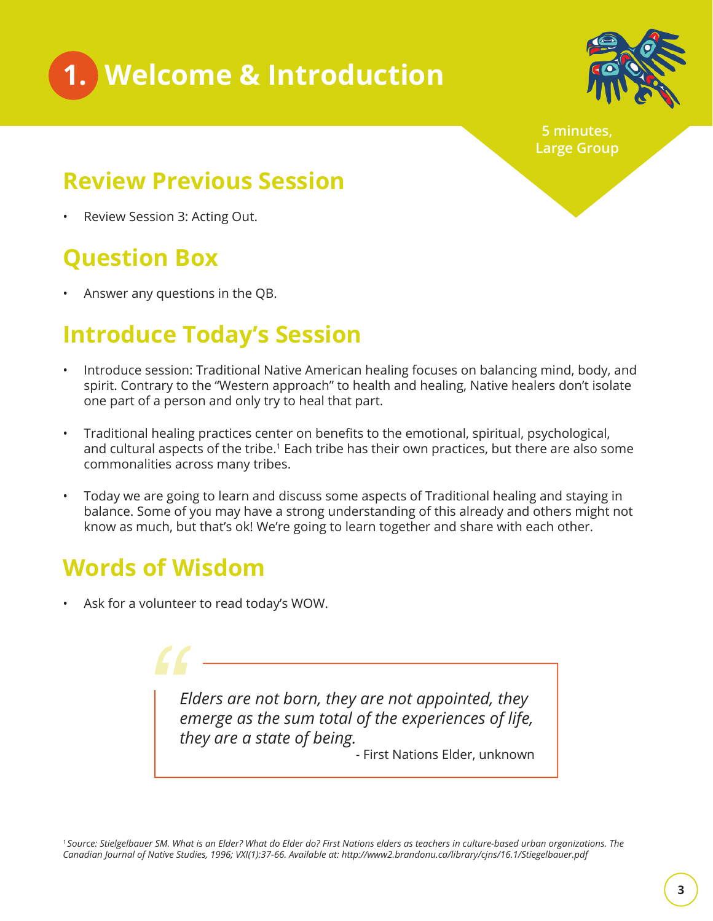



**5 minutes, Large Group**

### **Review Previous Session**

Review Session 3: Acting Out.

## **Question Box**

• Answer any questions in the QB.

## **Introduce Today's Session**

- Introduce session: Traditional Native American healing focuses on balancing mind, body, and spirit. Contrary to the "Western approach" to health and healing, Native healers don't isolate one part of a person and only try to heal that part.
- Traditional healing practices center on benefits to the emotional, spiritual, psychological, and cultural aspects of the tribe.<sup>1</sup> Each tribe has their own practices, but there are also some commonalities across many tribes.
- Today we are going to learn and discuss some aspects of Traditional healing and staying in balance. Some of you may have a strong understanding of this already and others might not know as much, but that's ok! We're going to learn together and share with each other.

## **Words of Wisdom**

Ask for a volunteer to read today's WOW.

*Elders are not born, they are not appointed, they emerge as the sum total of the experiences of life, they are a state of being.* - First Nations Elder, unknown *"*

*1 Source: Stielgelbauer SM. What is an Elder? What do Elder do? First Nations elders as teachers in culture-based urban organizations. The Canadian Journal of Native Studies, 1996; VXI(1):37-66. Available at: http://www2.brandonu.ca/library/cjns/16.1/Stiegelbauer.pdf*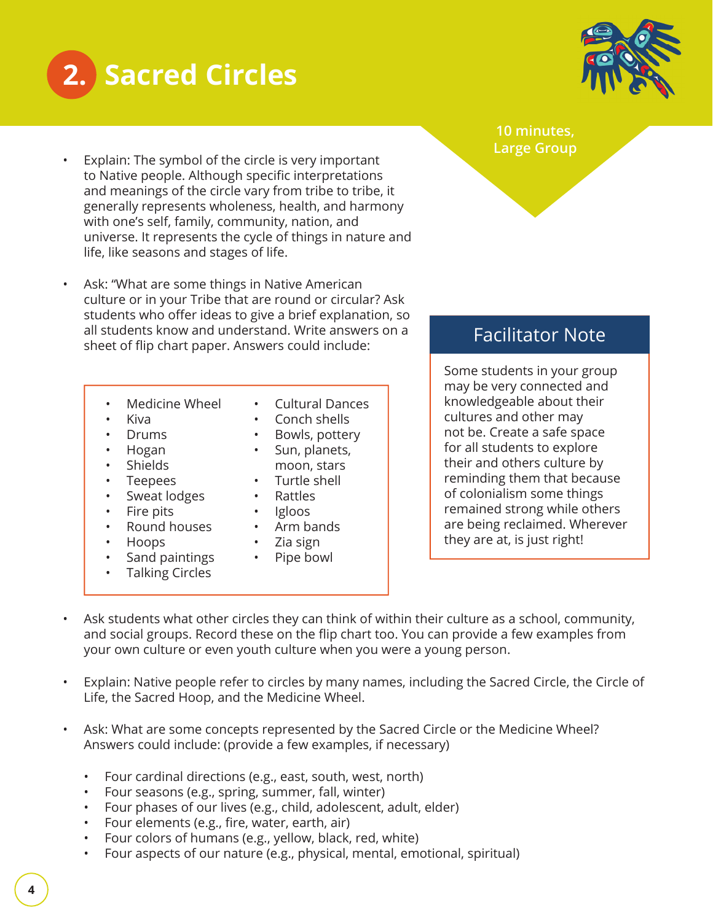



- Explain: The symbol of the circle is very important to Native people. Although specific interpretations and meanings of the circle vary from tribe to tribe, it generally represents wholeness, health, and harmony with one's self, family, community, nation, and universe. It represents the cycle of things in nature and life, like seasons and stages of life.
- Ask: "What are some things in Native American culture or in your Tribe that are round or circular? Ask students who offer ideas to give a brief explanation, so all students know and understand. Write answers on a sheet of flip chart paper. Answers could include:
	- Medicine Wheel
	- Kiva
	- Drums
	- Hogan
	- Shields
	- Teepees
	- Sweat lodges
	- Fire pits
	- Round houses
	- Hoops
	- Sand paintings
	-
- Cultural Dances
- Conch shells
- Bowls, pottery • Sun, planets,
- moon, stars
- Turtle shell
- Rattles
- Igloos
- Arm bands
- Zia sign
- Pipe bowl
- Talking Circles
- 

- 
- 
- 

Some students in your group may be very connected and

knowledgeable about their cultures and other may not be. Create a safe space for all students to explore their and others culture by reminding them that because of colonialism some things remained strong while others are being reclaimed. Wherever they are at, is just right!

Facilitator Note

- Ask students what other circles they can think of within their culture as a school, community, and social groups. Record these on the flip chart too. You can provide a few examples from your own culture or even youth culture when you were a young person.
- Explain: Native people refer to circles by many names, including the Sacred Circle, the Circle of Life, the Sacred Hoop, and the Medicine Wheel.
- Ask: What are some concepts represented by the Sacred Circle or the Medicine Wheel? Answers could include: (provide a few examples, if necessary)
	- Four cardinal directions (e.g., east, south, west, north)
	- Four seasons (e.g., spring, summer, fall, winter)
	- Four phases of our lives (e.g., child, adolescent, adult, elder)
	- Four elements (e.g., fire, water, earth, air)
	- Four colors of humans (e.g., yellow, black, red, white)
	- Four aspects of our nature (e.g., physical, mental, emotional, spiritual)

### **10 minutes, Large Group**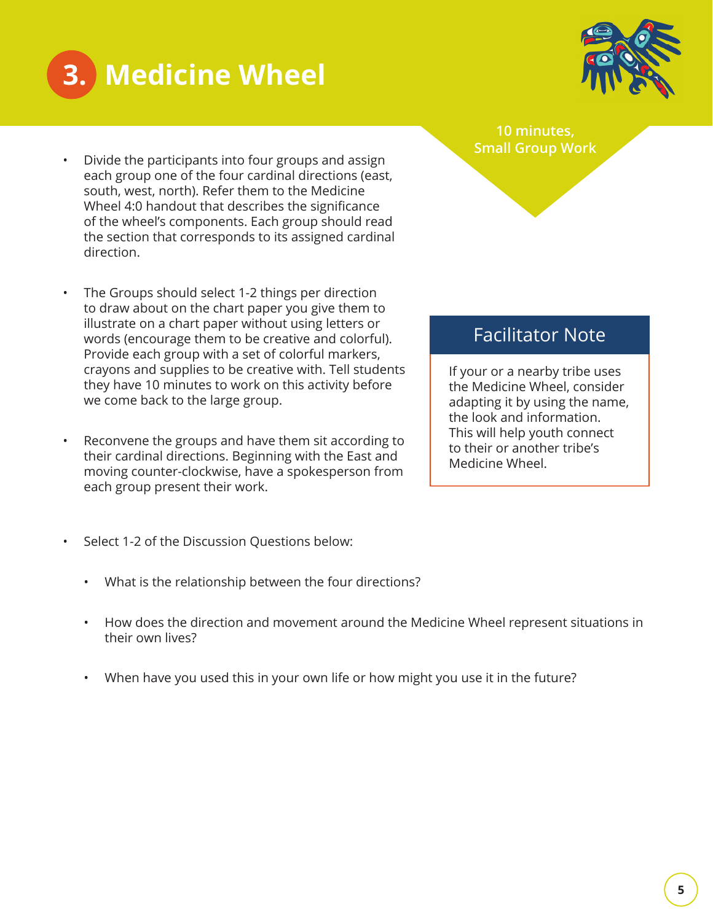

# **3. Medicine Wheel**

- Divide the participants into four groups and assign each group one of the four cardinal directions (east, south, west, north). Refer them to the Medicine Wheel 4:0 handout that describes the significance of the wheel's components. Each group should read the section that corresponds to its assigned cardinal direction.
- The Groups should select 1-2 things per direction to draw about on the chart paper you give them to illustrate on a chart paper without using letters or words (encourage them to be creative and colorful). Provide each group with a set of colorful markers, crayons and supplies to be creative with. Tell students they have 10 minutes to work on this activity before we come back to the large group.
- Reconvene the groups and have them sit according to their cardinal directions. Beginning with the East and moving counter-clockwise, have a spokesperson from each group present their work.
- Select 1-2 of the Discussion Questions below:
	- What is the relationship between the four directions?
	- How does the direction and movement around the Medicine Wheel represent situations in their own lives?
	- When have you used this in your own life or how might you use it in the future?

### Facilitator Note

If your or a nearby tribe uses the Medicine Wheel, consider adapting it by using the name, the look and information. This will help youth connect to their or another tribe's Medicine Wheel.

**10 minutes, Small Group Work**

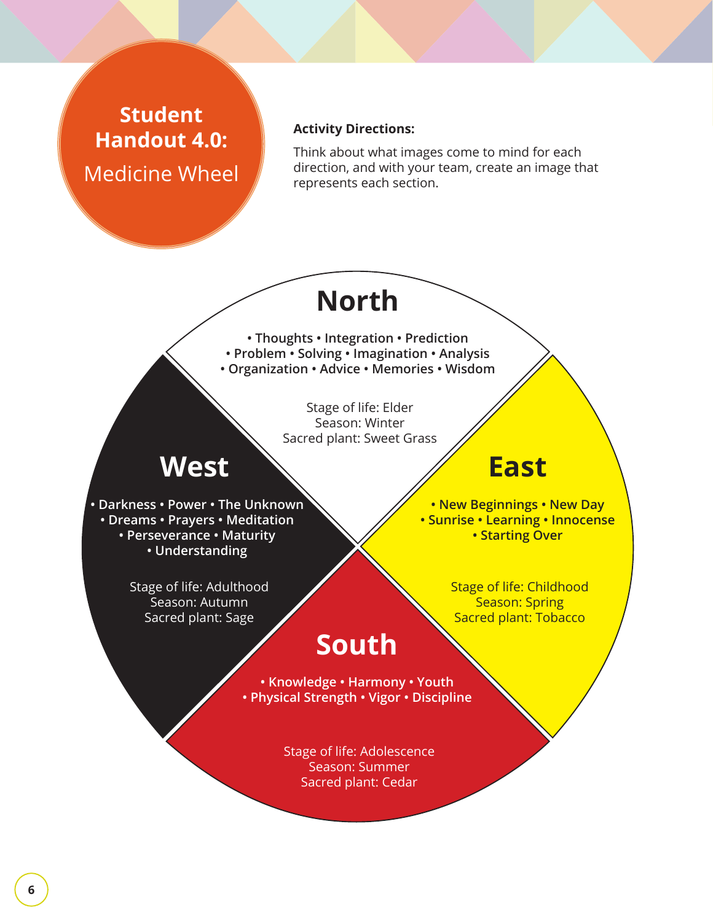### **Student Handout 4.0:**  Medicine Wheel

### **Activity Directions:**

Think about what images come to mind for each direction, and with your team, create an image that represents each section.

## **North**

**• Thoughts • Integration • Prediction • Problem • Solving • Imagination • Analysis • Organization • Advice • Memories • Wisdom**

> Stage of life: Elder Season: Winter Sacred plant: Sweet Grass

## **East**

**• Darkness • Power • The Unknown • Dreams • Prayers • Meditation • Perseverance • Maturity • Understanding**

**West**

**• New Beginnings • New Day • Sunrise • Learning • Innocense • Starting Over**

Stage of life: Adulthood Season: Autumn Sacred plant: Sage

Stage of life: Childhood Season: Spring Sacred plant: Tobacco

## **South**

**• Knowledge • Harmony • Youth • Physical Strength • Vigor • Discipline**

> Stage of life: Adolescence Season: Summer Sacred plant: Cedar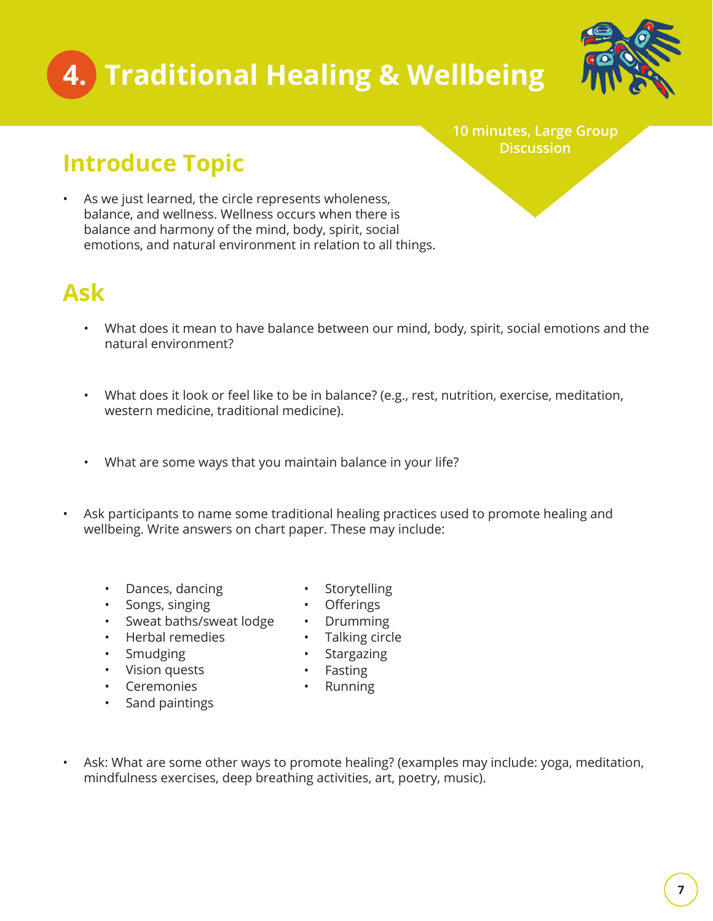# **4. Traditional Healing & Wellbeing**



**10 minutes, Large Group Discussion**

## **Introduce Topic**

• As we just learned, the circle represents wholeness, balance, and wellness. Wellness occurs when there is balance and harmony of the mind, body, spirit, social emotions, and natural environment in relation to all things.

### **Ask**

- What does it mean to have balance between our mind, body, spirit, social emotions and the natural environment?
- What does it look or feel like to be in balance? (e.g., rest, nutrition, exercise, meditation, western medicine, traditional medicine).
- What are some ways that you maintain balance in your life?
- Ask participants to name some traditional healing practices used to promote healing and wellbeing. Write answers on chart paper. These may include:
	- Dances, dancing
	- Songs, singing
	- Sweat baths/sweat lodge
	- Herbal remedies
	- Smudging
	- Vision quests
	- Ceremonies
	- Sand paintings
- **Storytelling**
- **Offerings**
- Drumming
- Talking circle
- **Stargazing**
- Fasting
	- Running
- Ask: What are some other ways to promote healing? (examples may include: yoga, meditation, mindfulness exercises, deep breathing activities, art, poetry, music).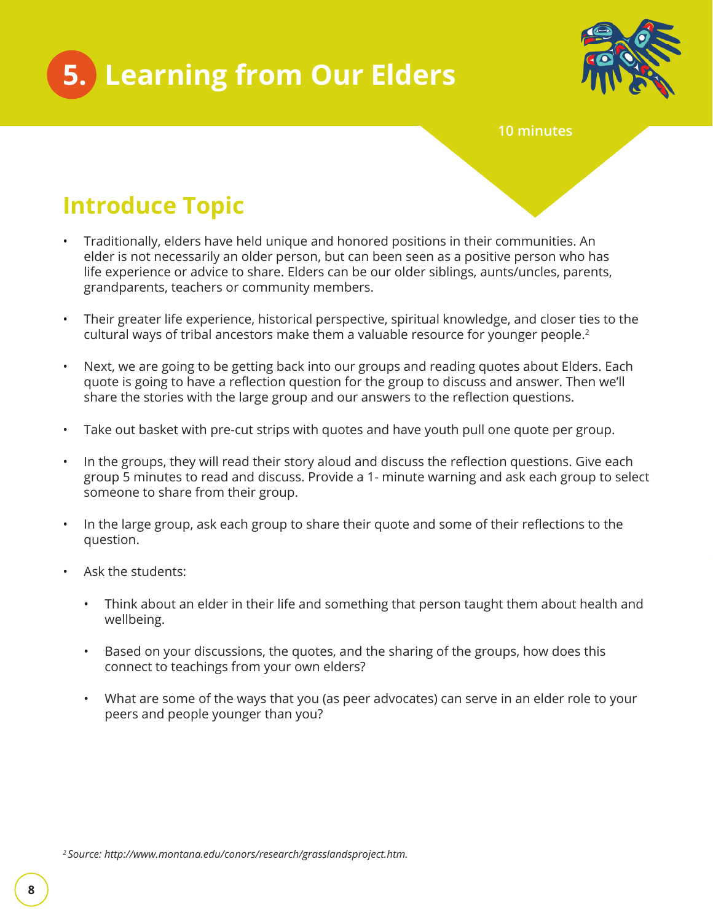



**10 minutes**

## **Introduce Topic**

- Traditionally, elders have held unique and honored positions in their communities. An elder is not necessarily an older person, but can been seen as a positive person who has life experience or advice to share. Elders can be our older siblings, aunts/uncles, parents, grandparents, teachers or community members.
- Their greater life experience, historical perspective, spiritual knowledge, and closer ties to the cultural ways of tribal ancestors make them a valuable resource for younger people. $2$
- Next, we are going to be getting back into our groups and reading quotes about Elders. Each quote is going to have a reflection question for the group to discuss and answer. Then we'll share the stories with the large group and our answers to the reflection questions.
- Take out basket with pre-cut strips with quotes and have youth pull one quote per group.
- In the groups, they will read their story aloud and discuss the reflection questions. Give each group 5 minutes to read and discuss. Provide a 1- minute warning and ask each group to select someone to share from their group.
- In the large group, ask each group to share their quote and some of their reflections to the question.
- Ask the students:
	- Think about an elder in their life and something that person taught them about health and wellbeing.
	- Based on your discussions, the quotes, and the sharing of the groups, how does this connect to teachings from your own elders?
	- What are some of the ways that you (as peer advocates) can serve in an elder role to your peers and people younger than you?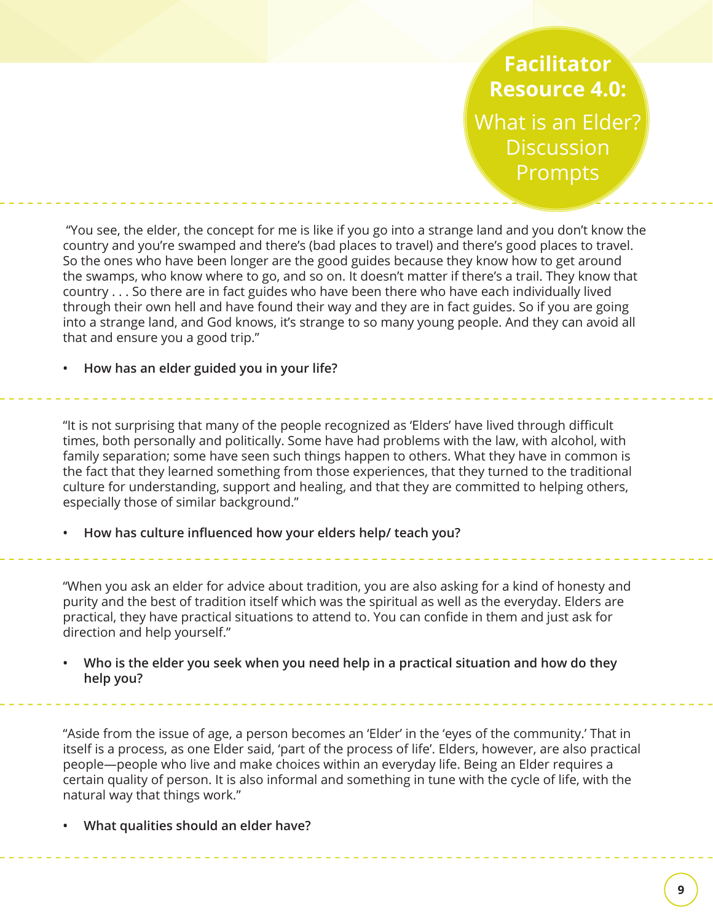**Facilitator Resource 4.0:**  What is an Elder? **Discussion** Prompts

 "You see, the elder, the concept for me is like if you go into a strange land and you don't know the country and you're swamped and there's (bad places to travel) and there's good places to travel. So the ones who have been longer are the good guides because they know how to get around the swamps, who know where to go, and so on. It doesn't matter if there's a trail. They know that country . . . So there are in fact guides who have been there who have each individually lived through their own hell and have found their way and they are in fact guides. So if you are going into a strange land, and God knows, it's strange to so many young people. And they can avoid all that and ensure you a good trip."

**• How has an elder guided you in your life?**

"It is not surprising that many of the people recognized as 'Elders' have lived through difficult times, both personally and politically. Some have had problems with the law, with alcohol, with family separation; some have seen such things happen to others. What they have in common is the fact that they learned something from those experiences, that they turned to the traditional culture for understanding, support and healing, and that they are committed to helping others, especially those of similar background."

How has culture influenced how your elders help/ teach you?

"When you ask an elder for advice about tradition, you are also asking for a kind of honesty and purity and the best of tradition itself which was the spiritual as well as the everyday. Elders are practical, they have practical situations to attend to. You can confide in them and just ask for direction and help yourself."

**• Who is the elder you seek when you need help in a practical situation and how do they help you?**

"Aside from the issue of age, a person becomes an 'Elder' in the 'eyes of the community.' That in itself is a process, as one Elder said, 'part of the process of life'. Elders, however, are also practical people—people who live and make choices within an everyday life. Being an Elder requires a certain quality of person. It is also informal and something in tune with the cycle of life, with the natural way that things work."

**• What qualities should an elder have?**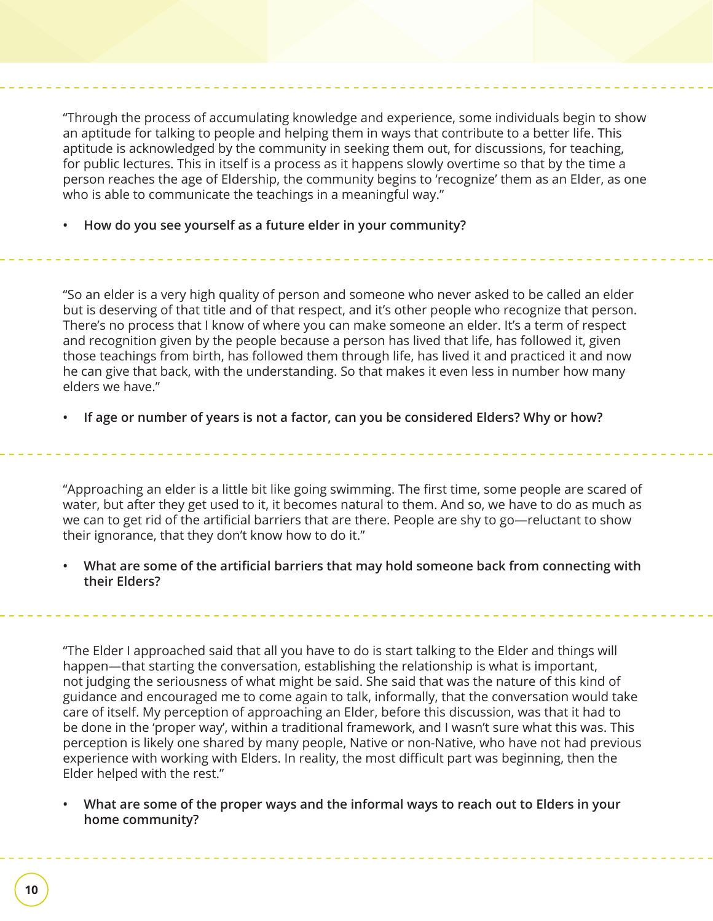"Through the process of accumulating knowledge and experience, some individuals begin to show an aptitude for talking to people and helping them in ways that contribute to a better life. This aptitude is acknowledged by the community in seeking them out, for discussions, for teaching, for public lectures. This in itself is a process as it happens slowly overtime so that by the time a person reaches the age of Eldership, the community begins to 'recognize' them as an Elder, as one who is able to communicate the teachings in a meaningful way."

**• How do you see yourself as a future elder in your community?**

"So an elder is a very high quality of person and someone who never asked to be called an elder but is deserving of that title and of that respect, and it's other people who recognize that person. There's no process that I know of where you can make someone an elder. It's a term of respect and recognition given by the people because a person has lived that life, has followed it, given those teachings from birth, has followed them through life, has lived it and practiced it and now he can give that back, with the understanding. So that makes it even less in number how many elders we have."

**• If age or number of years is not a factor, can you be considered Elders? Why or how?**

"Approaching an elder is a little bit like going swimming. The first time, some people are scared of water, but after they get used to it, it becomes natural to them. And so, we have to do as much as we can to get rid of the artificial barriers that are there. People are shy to go-reluctant to show their ignorance, that they don't know how to do it."

**What are some of the artificial barriers that may hold someone back from connecting with their Elders?**

"The Elder I approached said that all you have to do is start talking to the Elder and things will happen—that starting the conversation, establishing the relationship is what is important, not judging the seriousness of what might be said. She said that was the nature of this kind of guidance and encouraged me to come again to talk, informally, that the conversation would take care of itself. My perception of approaching an Elder, before this discussion, was that it had to be done in the 'proper way', within a traditional framework, and I wasn't sure what this was. This perception is likely one shared by many people, Native or non-Native, who have not had previous experience with working with Elders. In reality, the most difficult part was beginning, then the Elder helped with the rest."

**• What are some of the proper ways and the informal ways to reach out to Elders in your home community?**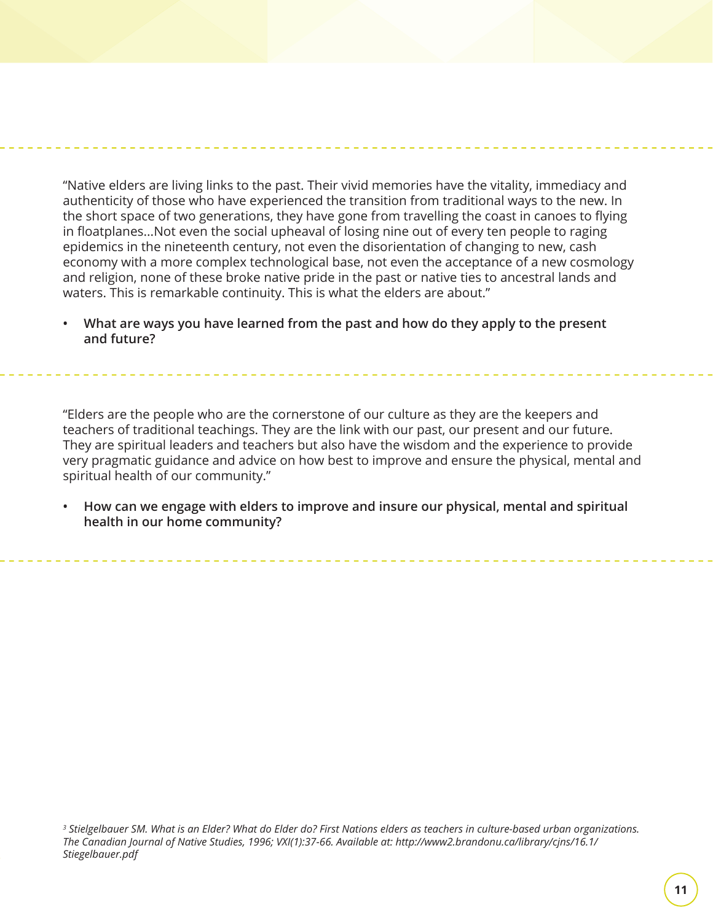"Native elders are living links to the past. Their vivid memories have the vitality, immediacy and authenticity of those who have experienced the transition from traditional ways to the new. In the short space of two generations, they have gone from travelling the coast in canoes to flying in floatplanes...Not even the social upheaval of losing nine out of every ten people to raging epidemics in the nineteenth century, not even the disorientation of changing to new, cash economy with a more complex technological base, not even the acceptance of a new cosmology and religion, none of these broke native pride in the past or native ties to ancestral lands and waters. This is remarkable continuity. This is what the elders are about."

**• What are ways you have learned from the past and how do they apply to the present and future?**

"Elders are the people who are the cornerstone of our culture as they are the keepers and teachers of traditional teachings. They are the link with our past, our present and our future. They are spiritual leaders and teachers but also have the wisdom and the experience to provide very pragmatic guidance and advice on how best to improve and ensure the physical, mental and spiritual health of our community."

**• How can we engage with elders to improve and insure our physical, mental and spiritual health in our home community?**

*3 Stielgelbauer SM. What is an Elder? What do Elder do? First Nations elders as teachers in culture-based urban organizations. The Canadian Journal of Native Studies, 1996; VXI(1):37-66. Available at: http://www2.brandonu.ca/library/cjns/16.1/ Stiegelbauer.pdf*